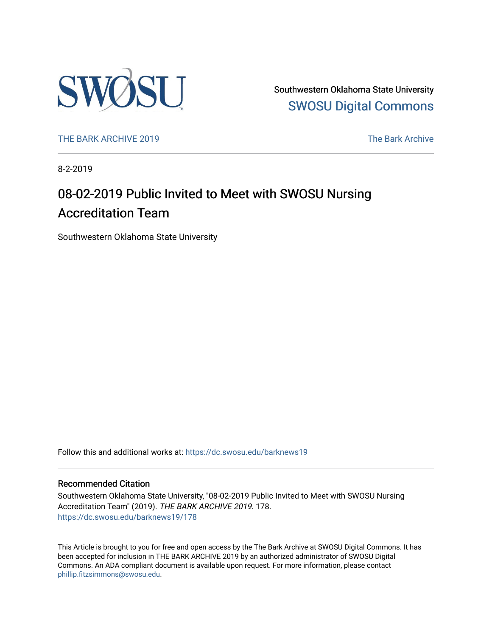

Southwestern Oklahoma State University [SWOSU Digital Commons](https://dc.swosu.edu/) 

[THE BARK ARCHIVE 2019](https://dc.swosu.edu/barknews19) The Bark Archive

8-2-2019

## 08-02-2019 Public Invited to Meet with SWOSU Nursing Accreditation Team

Southwestern Oklahoma State University

Follow this and additional works at: [https://dc.swosu.edu/barknews19](https://dc.swosu.edu/barknews19?utm_source=dc.swosu.edu%2Fbarknews19%2F178&utm_medium=PDF&utm_campaign=PDFCoverPages)

#### Recommended Citation

Southwestern Oklahoma State University, "08-02-2019 Public Invited to Meet with SWOSU Nursing Accreditation Team" (2019). THE BARK ARCHIVE 2019. 178. [https://dc.swosu.edu/barknews19/178](https://dc.swosu.edu/barknews19/178?utm_source=dc.swosu.edu%2Fbarknews19%2F178&utm_medium=PDF&utm_campaign=PDFCoverPages)

This Article is brought to you for free and open access by the The Bark Archive at SWOSU Digital Commons. It has been accepted for inclusion in THE BARK ARCHIVE 2019 by an authorized administrator of SWOSU Digital Commons. An ADA compliant document is available upon request. For more information, please contact [phillip.fitzsimmons@swosu.edu](mailto:phillip.fitzsimmons@swosu.edu).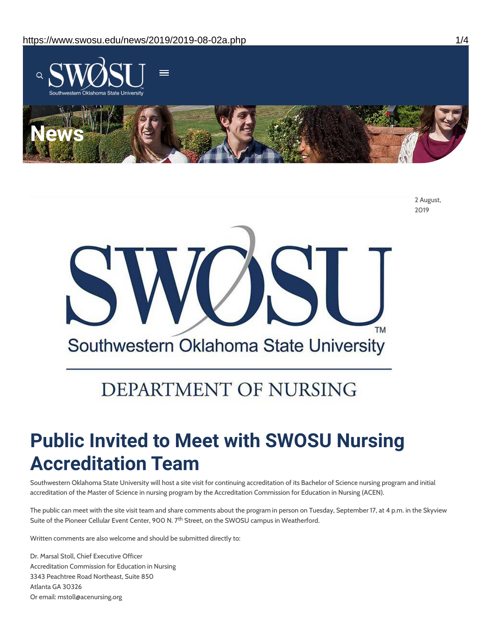

2 August, 2019



# DEPARTMENT OF NURSING

# **Public Invited to Meet with SWOSU Nursing Accreditation Team**

Southwestern Oklahoma State University will host a site visit for continuing accreditation of its Bachelor of Science nursing program and initial accreditation of the Master of Science in nursing program by the Accreditation Commission for Education in Nursing (ACEN).

The public can meet with the site visit team and share comments about the program in person on Tuesday, September 17, at 4 p.m. in the Skyview Suite of the Pioneer Cellular Event Center, 900 N. 7<sup>th</sup> Street, on the SWOSU campus in Weatherford.

Written comments are also welcome and should be submitted directly to:

Dr. Marsal Stoll, Chief Executive Officer Accreditation Commission for Education in Nursing 3343 Peachtree Road Northeast, Suite 850 Atlanta GA 30326 Or email: mstoll@acenursing.org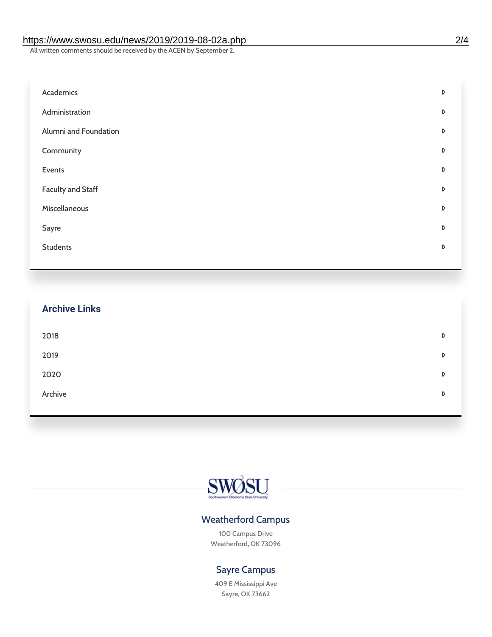#### https://www.swosu.edu/news/2019/2019-08-02a.php 2/4

All written comments should be received by the ACEN by September 2.

| Academics                | D |
|--------------------------|---|
| Administration           | D |
| Alumni and Foundation    | D |
| Community                | D |
| Events                   | D |
| <b>Faculty and Staff</b> | D |
| Miscellaneous            | D |
| Sayre                    | D |
| <b>Students</b>          | D |
|                          |   |

| <b>Archive Links</b> |   |
|----------------------|---|
| 2018                 | D |
| 2019                 | D |
| 2020                 | D |
| Archive              | D |
|                      |   |



### Weatherford Campus

100 Campus Drive Weatherford, OK 73096

### Sayre Campus

409 E Mississippi Ave Sayre, OK 73662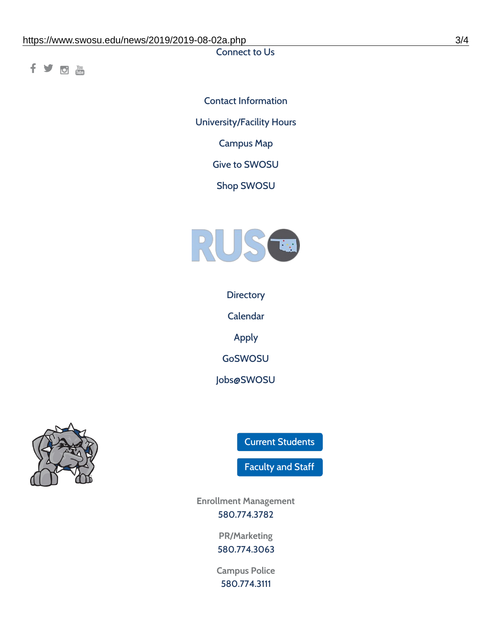Connect to Us

fyom

Contact [Information](https://www.swosu.edu/about/contact.php) [University/Facility](https://www.swosu.edu/about/operating-hours.php) Hours [Campus](https://map.concept3d.com/?id=768#!ct/10964,10214,10213,10212,10205,10204,10203,10202,10136,10129,10128,0,31226,10130,10201,10641,0) Map Give to [SWOSU](https://standingfirmly.com/donate) Shop [SWOSU](https://shopswosu.merchorders.com/)



**[Directory](https://www.swosu.edu/directory/index.php)** 

[Calendar](https://eventpublisher.dudesolutions.com/swosu/)

[Apply](https://www.swosu.edu/admissions/apply-to-swosu.php)

[GoSWOSU](https://qlsso.quicklaunchsso.com/home/1267)

[Jobs@SWOSU](https://swosu.csod.com/ux/ats/careersite/1/home?c=swosu)



Current [Students](https://bulldog.swosu.edu/index.php)

[Faculty](https://bulldog.swosu.edu/faculty-staff/index.php) and Staff

**Enrollment Management** [580.774.3782](tel:5807743782)

> **PR/Marketing** [580.774.3063](tel:5807743063)

**Campus Police** [580.774.3111](tel:5807743111)